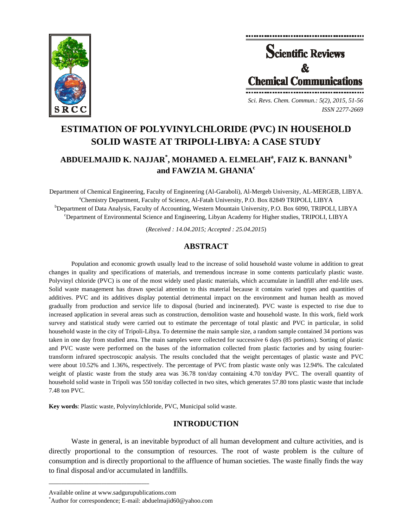

**Scientific Reviews**  $\mathbf{k}$ **Chemical Communications** *Sci. Revs. Chem. Commun.: 5(2), 2015, 51-56 ISSN 2277-2669* 

# **ESTIMATION OF POLYVINYLCHLORIDE (PVC) IN HOUSEHOLD SOLID WASTE AT TRIPOLI-LIBYA: A CASE STUDY**

## **ABDUELMAJID K. NAJJAR\* , MOHAMED A. ELMELAH<sup>a</sup> , FAIZ K. BANNANI b**  and FAWZIA M. GHANIA<sup>c</sup>

Department of Chemical Engineering, Faculty of Engineering (Al-Garaboli), Al-Mergeb University, AL-MERGEB, LIBYA. a <sup>a</sup>Chemistry Department, Faculty of Science, Al-Fatah University, P.O. Box 82849 TRIPOLI, LIBYA <sup>b</sup>Department of Data Analysis, Faculty of Accounting, Western Mountain University, P.O. Box 6090, TRIPOLI, LIBYA <sup>c</sup>Department of Environmental Science and Engineering, Libyan Academy for Higher studies, TRIPOLI, LIBYA

(*Received : 14.04.2015; Accepted : 25.04.2015*)

### **ABSTRACT**

Population and economic growth usually lead to the increase of solid household waste volume in addition to great changes in quality and specifications of materials, and tremendous increase in some contents particularly plastic waste. Polyvinyl chloride (PVC) is one of the most widely used plastic materials, which accumulate in landfill after end-life uses. Solid waste management has drawn special attention to this material because it contains varied types and quantities of additives. PVC and its additives display potential detrimental impact on the environment and human health as moved gradually from production and service life to disposal (buried and incinerated). PVC waste is expected to rise due to increased application in several areas such as construction, demolition waste and household waste. In this work, field work survey and statistical study were carried out to estimate the percentage of total plastic and PVC in particular, in solid household waste in the city of Tripoli-Libya. To determine the main sample size, a random sample contained 34 portions was taken in one day from studied area. The main samples were collected for successive 6 days (85 portions). Sorting of plastic and PVC waste were performed on the bases of the information collected from plastic factories and by using fouriertransform infrared spectroscopic analysis. The results concluded that the weight percentages of plastic waste and PVC were about 10.52% and 1.36%, respectively. The percentage of PVC from plastic waste only was 12.94%. The calculated weight of plastic waste from the study area was 36.78 ton/day containing 4.70 ton/day PVC. The overall quantity of household solid waste in Tripoli was 550 ton/day collected in two sites, which generates 57.80 tons plastic waste that include 7.48 ton PVC.

**Key words**: Plastic waste, Polyvinylchloride, PVC, Municipal solid waste.

## **INTRODUCTION**

Waste in general, is an inevitable byproduct of all human development and culture activities, and is directly proportional to the consumption of resources. The root of waste problem is the culture of consumption and is directly proportional to the affluence of human societies. The waste finally finds the way to final disposal and/or accumulated in landfills.

**\_\_\_\_\_\_\_\_\_\_\_\_\_\_\_\_\_\_\_\_\_\_\_\_\_\_\_\_\_\_\_\_\_\_\_\_\_\_\_\_**

Available online at www.sadgurupublications.com \*

Author for correspondence; E-mail: abduelmajid60@yahoo.com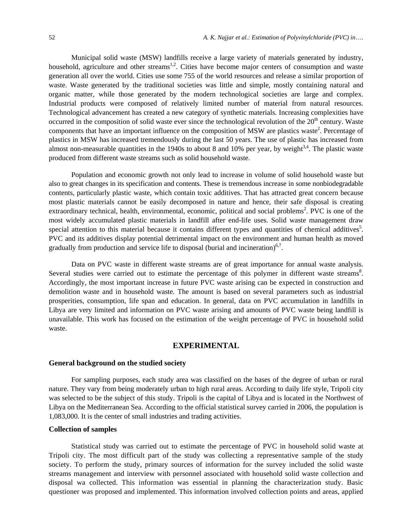Municipal solid waste (MSW) landfills receive a large variety of materials generated by industry, household, agriculture and other streams<sup>1,2</sup>. Cities have become major centers of consumption and waste generation all over the world. Cities use some 755 of the world resources and release a similar proportion of waste. Waste generated by the traditional societies was little and simple, mostly containing natural and organic matter, while those generated by the modern technological societies are large and complex. Industrial products were composed of relatively limited number of material from natural resources. Technological advancement has created a new category of synthetic materials. Increasing complexities have occurred in the composition of solid waste ever since the technological revolution of the  $20<sup>th</sup>$  century. Waste components that have an important influence on the composition of MSW are plastics waste<sup>2</sup>. Percentage of plastics in MSW has increased tremendously during the last 50 years. The use of plastic has increased from almost non-measurable quantities in the 1940s to about 8 and 10% per year, by weight<sup>3,4</sup>. The plastic waste produced from different waste streams such as solid household waste.

Population and economic growth not only lead to increase in volume of solid household waste but also to great changes in its specification and contents. These is tremendous increase in some nonbiodegradable contents, particularly plastic waste, which contain toxic additives. That has attracted great concern because most plastic materials cannot be easily decomposed in nature and hence, their safe disposal is creating extraordinary technical, health, environmental, economic, political and social problems<sup>2</sup>. PVC is one of the most widely accumulated plastic materials in landfill after end-life uses. Solid waste management draw special attention to this material because it contains different types and quantities of chemical additives<sup>5</sup>. PVC and its additives display potential detrimental impact on the environment and human health as moved gradually from production and service life to disposal (burial and incineration) $6,7$ .

Data on PVC waste in different waste streams are of great importance for annual waste analysis. Several studies were carried out to estimate the percentage of this polymer in different waste streams<sup>8</sup>. Accordingly, the most important increase in future PVC waste arising can be expected in construction and demolition waste and in household waste. The amount is based on several parameters such as industrial prosperities, consumption, life span and education. In general, data on PVC accumulation in landfills in Libya are very limited and information on PVC waste arising and amounts of PVC waste being landfill is unavailable. This work has focused on the estimation of the weight percentage of PVC in household solid waste.

#### **EXPERIMENTAL**

#### **General background on the studied society**

For sampling purposes, each study area was classified on the bases of the degree of urban or rural nature. They vary from being moderately urban to high rural areas. According to daily life style, Tripoli city was selected to be the subject of this study. Tripoli is the capital of Libya and is located in the Northwest of Libya on the Mediterranean Sea. According to the official statistical survey carried in 2006, the population is 1,083,000. It is the center of small industries and trading activities.

#### **Collection of samples**

Statistical study was carried out to estimate the percentage of PVC in household solid waste at Tripoli city. The most difficult part of the study was collecting a representative sample of the study society. To perform the study, primary sources of information for the survey included the solid waste streams management and interview with personnel associated with household solid waste collection and disposal wa collected. This information was essential in planning the characterization study. Basic questioner was proposed and implemented. This information involved collection points and areas, applied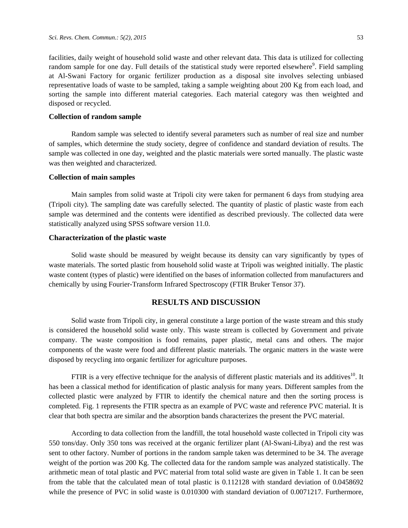facilities, daily weight of household solid waste and other relevant data. This data is utilized for collecting random sample for one day. Full details of the statistical study were reported elsewhere<sup>9</sup>. Field sampling at Al-Swani Factory for organic fertilizer production as a disposal site involves selecting unbiased representative loads of waste to be sampled, taking a sample weighting about 200 Kg from each load, and sorting the sample into different material categories. Each material category was then weighted and disposed or recycled.

#### **Collection of random sample**

Random sample was selected to identify several parameters such as number of real size and number of samples, which determine the study society, degree of confidence and standard deviation of results. The sample was collected in one day, weighted and the plastic materials were sorted manually. The plastic waste was then weighted and characterized.

#### **Collection of main samples**

Main samples from solid waste at Tripoli city were taken for permanent 6 days from studying area (Tripoli city). The sampling date was carefully selected. The quantity of plastic of plastic waste from each sample was determined and the contents were identified as described previously. The collected data were statistically analyzed using SPSS software version 11.0.

#### **Characterization of the plastic waste**

Solid waste should be measured by weight because its density can vary significantly by types of waste materials. The sorted plastic from household solid waste at Tripoli was weighted initially. The plastic waste content (types of plastic) were identified on the bases of information collected from manufacturers and chemically by using Fourier-Transform Infrared Spectroscopy (FTIR Bruker Tensor 37).

#### **RESULTS AND DISCUSSION**

Solid waste from Tripoli city, in general constitute a large portion of the waste stream and this study is considered the household solid waste only. This waste stream is collected by Government and private company. The waste composition is food remains, paper plastic, metal cans and others. The major components of the waste were food and different plastic materials. The organic matters in the waste were disposed by recycling into organic fertilizer for agriculture purposes.

FTIR is a very effective technique for the analysis of different plastic materials and its additives<sup>10</sup>. It has been a classical method for identification of plastic analysis for many years. Different samples from the collected plastic were analyzed by FTIR to identify the chemical nature and then the sorting process is completed. Fig. 1 represents the FTIR spectra as an example of PVC waste and reference PVC material. It is clear that both spectra are similar and the absorption bands characterizes the present the PVC material.

According to data collection from the landfill, the total household waste collected in Tripoli city was 550 tons/day. Only 350 tons was received at the organic fertilizer plant (Al-Swani-Libya) and the rest was sent to other factory. Number of portions in the random sample taken was determined to be 34. The average weight of the portion was 200 Kg. The collected data for the random sample was analyzed statistically. The arithmetic mean of total plastic and PVC material from total solid waste are given in Table 1. It can be seen from the table that the calculated mean of total plastic is 0.112128 with standard deviation of 0.0458692 while the presence of PVC in solid waste is 0.010300 with standard deviation of 0.0071217. Furthermore,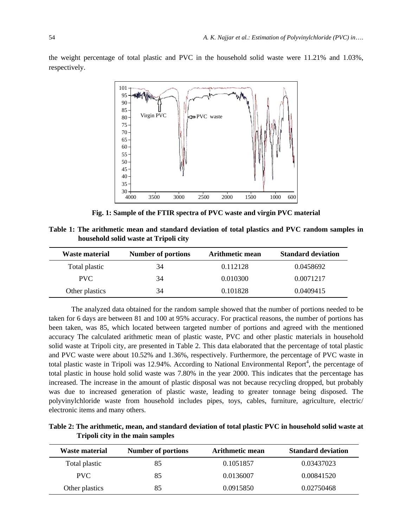the weight percentage of total plastic and PVC in the household solid waste were 11.21% and 1.03%, respectively.



**Fig. 1: Sample of the FTIR spectra of PVC waste and virgin PVC material**

| Table 1: The arithmetic mean and standard deviation of total plastics and PVC random samples in |  |  |  |  |  |
|-------------------------------------------------------------------------------------------------|--|--|--|--|--|
| household solid waste at Tripoli city                                                           |  |  |  |  |  |

| Waste material | <b>Number of portions</b> | <b>Arithmetic mean</b> | <b>Standard deviation</b> |
|----------------|---------------------------|------------------------|---------------------------|
| Total plastic  | 34                        | 0.112128               | 0.0458692                 |
| PVC.           | 34                        | 0.010300               | 0.0071217                 |
| Other plastics | 34                        | 0.101828               | 0.0409415                 |

The analyzed data obtained for the random sample showed that the number of portions needed to be taken for 6 days are between 81 and 100 at 95% accuracy. For practical reasons, the number of portions has been taken, was 85, which located between targeted number of portions and agreed with the mentioned accuracy The calculated arithmetic mean of plastic waste, PVC and other plastic materials in household solid waste at Tripoli city, are presented in Table 2. This data elaborated that the percentage of total plastic and PVC waste were about 10.52% and 1.36%, respectively. Furthermore, the percentage of PVC waste in total plastic waste in Tripoli was 12.94%. According to National Environmental Report<sup>4</sup>, the percentage of total plastic in house hold solid waste was 7.80% in the year 2000. This indicates that the percentage has increased. The increase in the amount of plastic disposal was not because recycling dropped, but probably was due to increased generation of plastic waste, leading to greater tonnage being disposed. The polyvinylchloride waste from household includes pipes, toys, cables, furniture, agriculture, electric/ electronic items and many others.

**Table 2: The arithmetic, mean, and standard deviation of total plastic PVC in household solid waste at Tripoli city in the main samples** 

| <b>Waste material</b> | <b>Number of portions</b> | Arithmetic mean | <b>Standard deviation</b> |
|-----------------------|---------------------------|-----------------|---------------------------|
| Total plastic         | 85                        | 0.1051857       | 0.03437023                |
| PVC.                  | 85                        | 0.0136007       | 0.00841520                |
| Other plastics        | 85                        | 0.0915850       | 0.02750468                |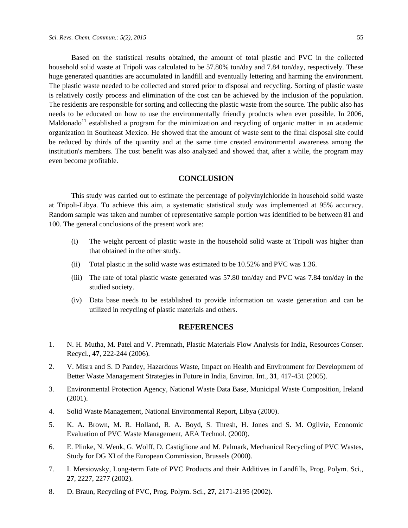Based on the statistical results obtained, the amount of total plastic and PVC in the collected household solid waste at Tripoli was calculated to be 57.80% ton/day and 7.84 ton/day, respectively. These huge generated quantities are accumulated in landfill and eventually lettering and harming the environment. The plastic waste needed to be collected and stored prior to disposal and recycling. Sorting of plastic waste is relatively costly process and elimination of the cost can be achieved by the inclusion of the population. The residents are responsible for sorting and collecting the plastic waste from the source. The public also has needs to be educated on how to use the environmentally friendly products when ever possible. In 2006, Maldonado<sup>11</sup> established a program for the minimization and recycling of organic matter in an academic

organization in Southeast Mexico. He showed that the amount of waste sent to the final disposal site could be reduced by thirds of the quantity and at the same time created environmental awareness among the institution's members. The cost benefit was also analyzed and showed that, after a while, the program may even become profitable.

#### **CONCLUSION**

This study was carried out to estimate the percentage of polyvinylchloride in household solid waste at Tripoli-Libya. To achieve this aim, a systematic statistical study was implemented at 95% accuracy. Random sample was taken and number of representative sample portion was identified to be between 81 and 100. The general conclusions of the present work are:

- (i) The weight percent of plastic waste in the household solid waste at Tripoli was higher than that obtained in the other study.
- (ii) Total plastic in the solid waste was estimated to be 10.52% and PVC was 1.36.
- (iii) The rate of total plastic waste generated was 57.80 ton/day and PVC was 7.84 ton/day in the studied society.
- (iv) Data base needs to be established to provide information on waste generation and can be utilized in recycling of plastic materials and others.

#### **REFERENCES**

- 1. N. H. Mutha, M. Patel and V. Premnath, Plastic Materials Flow Analysis for India, Resources Conser. Recycl., **47**, 222-244 (2006).
- 2. V. Misra and S. D Pandey, Hazardous Waste, Impact on Health and Environment for Development of Better Waste Management Strategies in Future in India, Environ. Int., **31**, 417-431 (2005).
- 3. Environmental Protection Agency, National Waste Data Base, Municipal Waste Composition, Ireland (2001).
- 4. Solid Waste Management, National Environmental Report, Libya (2000).
- 5. K. A. Brown, M. R. Holland, R. A. Boyd, S. Thresh, H. Jones and S. M. Ogilvie, Economic Evaluation of PVC Waste Management, AEA Technol. (2000).
- 6. E. Plinke, N. Wenk, G. Wolff, D. Castiglione and M. Palmark, Mechanical Recycling of PVC Wastes, Study for DG XI of the European Commission, Brussels (2000).
- 7. I. Mersiowsky, Long-term Fate of PVC Products and their Additives in Landfills, Prog. Polym. Sci., **27**, 2227, 2277 (2002).
- 8. D. Braun, Recycling of PVC, Prog. Polym. Sci., **27**, 2171-2195 (2002).